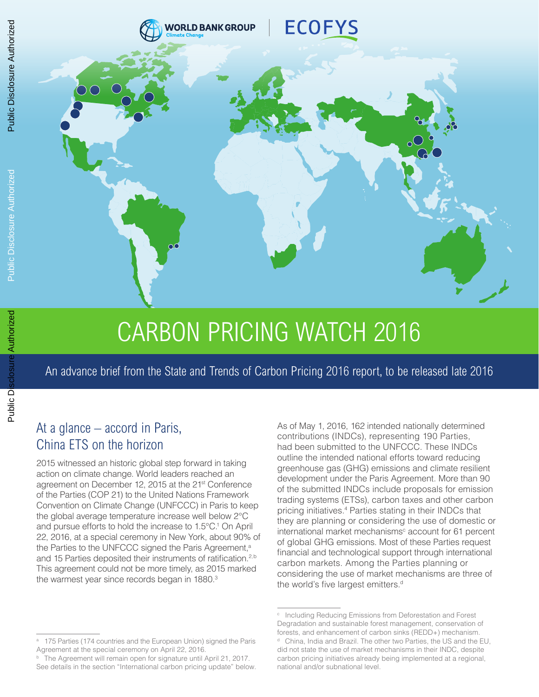

# CARBON PRICING WATCH 2016

An advance brief from the State and Trends of Carbon Pricing 2016 report, to be released late 2016

# At a glance – accord in Paris, China ETS on the horizon

2015 witnessed an historic global step forward in taking action on climate change. World leaders reached an agreement on December 12, 2015 at the 21<sup>st</sup> Conference of the Parties (COP 21) to the United Nations Framework Convention on Climate Change (UNFCCC) in Paris to keep the global average temperature increase well below 2°C and pursue efforts to hold the increase to 1.5°C.<sup>1</sup> On April 22, 2016, at a special ceremony in New York, about 90% of the Parties to the UNFCCC signed the Paris Agreement,<sup>a</sup> and 15 Parties deposited their instruments of ratification.<sup>2,b</sup> This agreement could not be more timely, as 2015 marked the warmest year since records began in 1880.<sup>3</sup>

As of May 1, 2016, 162 intended nationally determined contributions (INDCs), representing 190 Parties, had been submitted to the UNFCCC. These INDCs outline the intended national efforts toward reducing greenhouse gas (GHG) emissions and climate resilient development under the Paris Agreement. More than 90 of the submitted INDCs include proposals for emission trading systems (ETSs), carbon taxes and other carbon pricing initiatives.4 Parties stating in their INDCs that they are planning or considering the use of domestic or international market mechanisms<sup>c</sup> account for 61 percent of global GHG emissions. Most of these Parties request financial and technological support through international carbon markets. Among the Parties planning or considering the use of market mechanisms are three of the world's five largest emitters.<sup>d</sup>

Public Disclosure Authorized

<sup>175</sup> Parties (174 countries and the European Union) signed the Paris Agreement at the special ceremony on April 22, 2016.

<sup>&</sup>lt;sup>b</sup> The Agreement will remain open for signature until April 21, 2017. See details in the section "International carbon pricing update" below.

<sup>c</sup> Including Reducing Emissions from Deforestation and Forest Degradation and sustainable forest management, conservation of forests, and enhancement of carbon sinks (REDD+) mechanism. <sup>d</sup> China, India and Brazil. The other two Parties, the US and the EU, did not state the use of market mechanisms in their INDC, despite carbon pricing initiatives already being implemented at a regional, national and/or subnational level.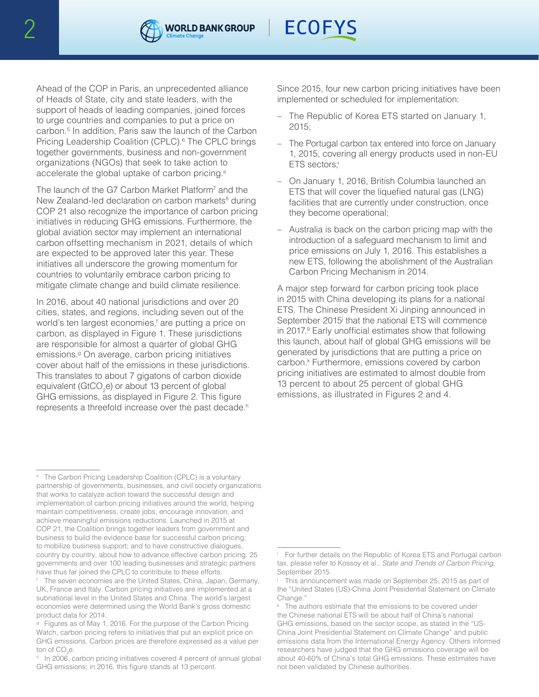



Ahead of the COP in Paris, an unprecedented alliance of Heads of State, city and state leaders, with the support of heads of leading companies, joined forces to urge countries and companies to put a price on carbon.5 In addition, Paris saw the launch of the Carbon Pricing Leadership Coalition (CPLC).<sup>6</sup> The CPLC brings together governments, business and non-government organizations (NGOs) that seek to take action to accelerate the global uptake of carbon pricing.<sup>e</sup>

The launch of the G7 Carbon Market Platform<sup>7</sup> and the New Zealand-led declaration on carbon markets<sup>8</sup> during COP 21 also recognize the importance of carbon pricing initiatives in reducing GHG emissions. Furthermore, the global aviation sector may implement an international carbon offsetting mechanism in 2021, details of which are expected to be approved later this year. These initiatives all underscore the growing momentum for countries to voluntarily embrace carbon pricing to mitigate climate change and build climate resilience.

In 2016, about 40 national jurisdictions and over 20 cities, states, and regions, including seven out of the world's ten largest economies,<sup>f</sup> are putting a price on carbon, as displayed in Figure 1. These jurisdictions are responsible for almost a quarter of global GHG emissions.<sup>9</sup> On average, carbon pricing initiatives cover about half of the emissions in these jurisdictions. This translates to about 7 gigatons of carbon dioxide equivalent (GtCO<sub>2</sub>e) or about 13 percent of global GHG emissions, as displayed in Figure 2. This figure represents a threefold increase over the past decade.<sup>h</sup>

Since 2015, four new carbon pricing initiatives have been implemented or scheduled for implementation:

- The Republic of Korea ETS started on January 1, 2015;
- The Portugal carbon tax entered into force on January 1, 2015, covering all energy products used in non-EU ETS sectors:
- On January 1, 2016, British Columbia launched an ETS that will cover the liquefied natural gas (LNG) facilities that are currently under construction, once they become operational;
- Australia is back on the carbon pricing map with the introduction of a safeguard mechanism to limit and price emissions on July 1, 2016. This establishes a new ETS, following the abolishment of the Australian Carbon Pricing Mechanism in 2014.

A major step forward for carbon pricing took place in 2015 with China developing its plans for a national ETS. The Chinese President Xi Jinping announced in September 2015<sup>j</sup> that the national ETS will commence in 2017.<sup>9</sup> Early unofficial estimates show that following this launch, about half of global GHG emissions will be generated by jurisdictions that are putting a price on carbon.<sup>k</sup> Furthermore, emissions covered by carbon pricing initiatives are estimated to almost double from 13 percent to about 25 percent of global GHG emissions, as illustrated in Figures 2 and 4.

<sup>e</sup> The Carbon Pricing Leadership Coalition (CPLC) is a voluntary partnership of governments, businesses, and civil society organizations that works to catalyze action toward the successful design and implementation of carbon pricing initiatives around the world, helping maintain competitiveness, create jobs, encourage innovation, and achieve meaningful emissions reductions. Launched in 2015 at COP 21, the Coalition brings together leaders from government and business to build the evidence base for successful carbon pricing; to mobilize business support; and to have constructive dialogues, country by country, about how to advance effective carbon pricing. 25 governments and over 100 leading businesses and strategic partners have thus far joined the CPLC to contribute to these efforts.

The seven economies are the United States, China, Japan, Germany, UK, France and Italy. Carbon pricing initiatives are implemented at a subnational level in the United States and China. The world's largest economies were determined using the World Bank's gross domestic product data for 2014.

<sup>&</sup>lt;sup>9</sup> Figures as of May 1, 2016. For the purpose of the Carbon Pricing Watch, carbon pricing refers to initiatives that put an explicit price on GHG emissions. Carbon prices are therefore expressed as a value per ton of CO<sub>2</sub>e.

h In 2006, carbon pricing initiatives covered 4 percent of annual global GHG emissions; in 2016, this figure stands at 13 percent.

<sup>&</sup>lt;sup>i</sup> For further details on the Republic of Korea ETS and Portugal carbon tax, please refer to Kossoy et al., *State and Trends of Carbon Pricing*, September 2015.

This announcement was made on September 25, 2015 as part of the "United States (US)-China Joint Presidential Statement on Climate Change."

<sup>&</sup>lt;sup>k</sup> The authors estimate that the emissions to be covered under the Chinese national ETS will be about half of China's national GHG emissions, based on the sector scope, as stated in the "US-China Joint Presidential Statement on Climate Change" and public emissions data from the International Energy Agency. Others informed researchers have judged that the GHG emissions coverage will be about 40-60% of China's total GHG emissions. These estimates have not been validated by Chinese authorities.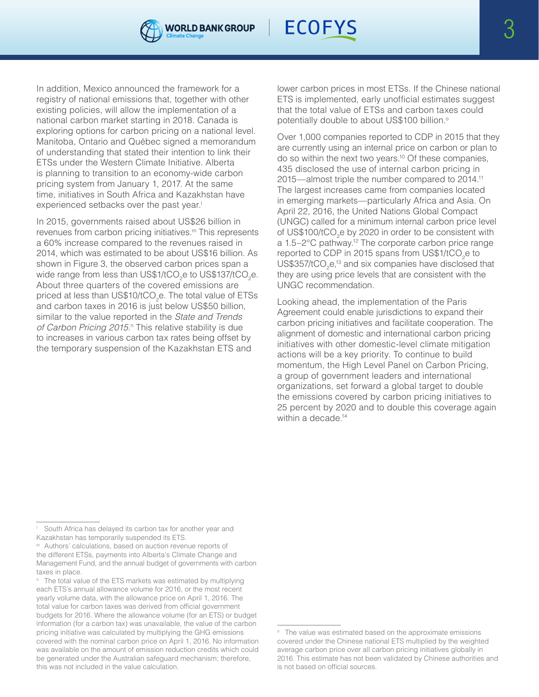



In addition, Mexico announced the framework for a registry of national emissions that, together with other existing policies, will allow the implementation of a national carbon market starting in 2018. Canada is exploring options for carbon pricing on a national level. Manitoba, Ontario and Québec signed a memorandum of understanding that stated their intention to link their ETSs under the Western Climate Initiative. Alberta is planning to transition to an economy-wide carbon pricing system from January 1, 2017. At the same time, initiatives in South Africa and Kazakhstan have experienced setbacks over the past year.<sup>1</sup>

In 2015, governments raised about US\$26 billion in revenues from carbon pricing initiatives.m This represents a 60% increase compared to the revenues raised in 2014, which was estimated to be about US\$16 billion. As shown in Figure 3, the observed carbon prices span a wide range from less than US\$1/tCO<sub>2</sub>e to US\$137/tCO<sub>2</sub>e. About three quarters of the covered emissions are priced at less than US\$10/tCO<sub>2</sub>e. The total value of ETSs and carbon taxes in 2016 is just below US\$50 billion, similar to the value reported in the *State and Trends*  of Carbon Pricing 2015.<sup>n</sup> This relative stability is due to increases in various carbon tax rates being offset by the temporary suspension of the Kazakhstan ETS and

lower carbon prices in most ETSs. If the Chinese national ETS is implemented, early unofficial estimates suggest that the total value of ETSs and carbon taxes could potentially double to about US\$100 billion.<sup>o</sup>

Over 1,000 companies reported to CDP in 2015 that they are currently using an internal price on carbon or plan to do so within the next two years.10 Of these companies, 435 disclosed the use of internal carbon pricing in 2015—almost triple the number compared to 2014.11 The largest increases came from companies located in emerging markets—particularly Africa and Asia. On April 22, 2016, the United Nations Global Compact (UNGC) called for a minimum internal carbon price level of US\$100/tCO<sub>2</sub>e by 2020 in order to be consistent with a 1.5–2°C pathway.12 The corporate carbon price range reported to CDP in 2015 spans from US\$1/tCO<sub>2</sub>e to US\$357/tCO<sub>2</sub>e,<sup>13</sup> and six companies have disclosed that they are using price levels that are consistent with the UNGC recommendation.

Looking ahead, the implementation of the Paris Agreement could enable jurisdictions to expand their carbon pricing initiatives and facilitate cooperation. The alignment of domestic and international carbon pricing initiatives with other domestic-level climate mitigation actions will be a key priority. To continue to build momentum, the High Level Panel on Carbon Pricing, a group of government leaders and international organizations, set forward a global target to double the emissions covered by carbon pricing initiatives to 25 percent by 2020 and to double this coverage again within a decade.<sup>14</sup>

South Africa has delayed its carbon tax for another year and Kazakhstan has temporarily suspended its ETS.

<sup>m</sup> Authors' calculations, based on auction revenue reports of the different ETSs, payments into Alberta's Climate Change and Management Fund, and the annual budget of governments with carbon taxes in place.

<sup>&</sup>lt;sup>n</sup> The total value of the ETS markets was estimated by multiplying each ETS's annual allowance volume for 2016, or the most recent yearly volume data, with the allowance price on April 1, 2016. The total value for carbon taxes was derived from official government budgets for 2016. Where the allowance volume (for an ETS) or budget information (for a carbon tax) was unavailable, the value of the carbon pricing initiative was calculated by multiplying the GHG emissions covered with the nominal carbon price on April 1, 2016. No information was available on the amount of emission reduction credits which could be generated under the Australian safeguard mechanism; therefore, this was not included in the value calculation.

<sup>&</sup>lt;sup>o</sup> The value was estimated based on the approximate emissions covered under the Chinese national ETS multiplied by the weighted average carbon price over all carbon pricing initiatives globally in 2016. This estimate has not been validated by Chinese authorities and is not based on official sources.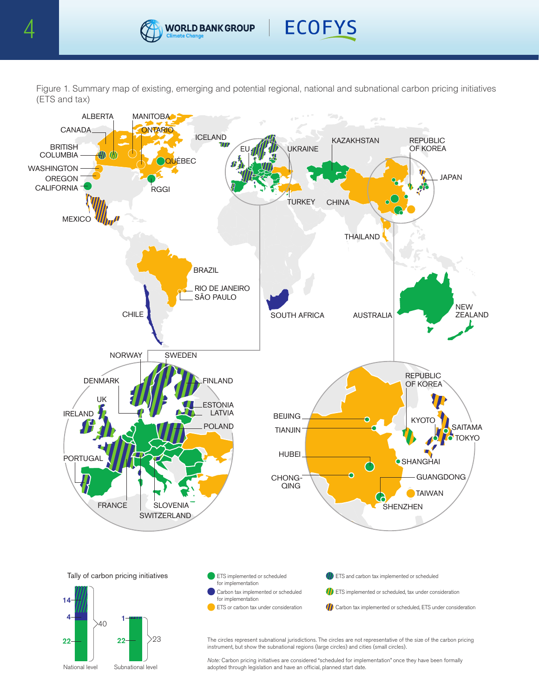



Figure 1. Summary map of existing, emerging and potential regional, national and subnational carbon pricing initiatives (ETS and tax)



The circles represent subnational jurisdictions. The circles are not representative of the size of the carbon pricing instrument, but show the subnational regions (large circles) and cities (small circles).

Note: Carbon pricing initiatives are considered "scheduled for implementation" once they have been formally adopted through legislation and have an official, planned start date.

National level Subnational level

22

 $22 -$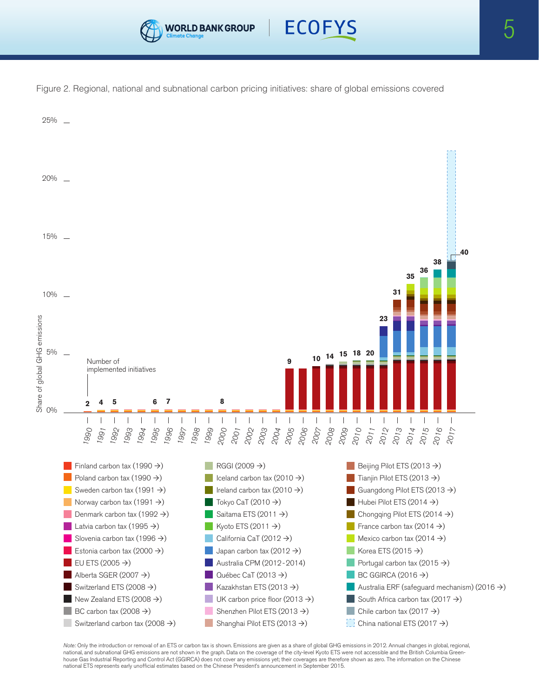



Figure 2. Regional, national and subnational carbon pricing initiatives: share of global emissions covered



Note: Only the introduction or removal of an ETS or carbon tax is shown. Emissions are given as a share of global GHG emissions in 2012. Annual changes in global, regional, national, and subnational GHG emissions are not shown in the graph. Data on the coverage of the city-level Kyoto ETS were not accessible and the British Columbia Greenhouse Gas Industrial Reporting and Control Act (GGIRCA) does not cover any emissions yet; their coverages are therefore shown as zero. The information on the Chinese national ETS represents early unofficial estimates based on the Chinese President's announcement in September 2015.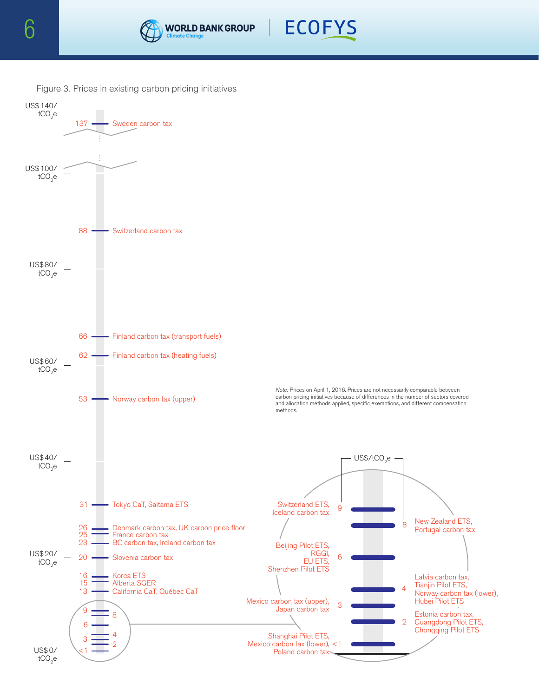



Figure 3. Prices in existing carbon pricing initiatives

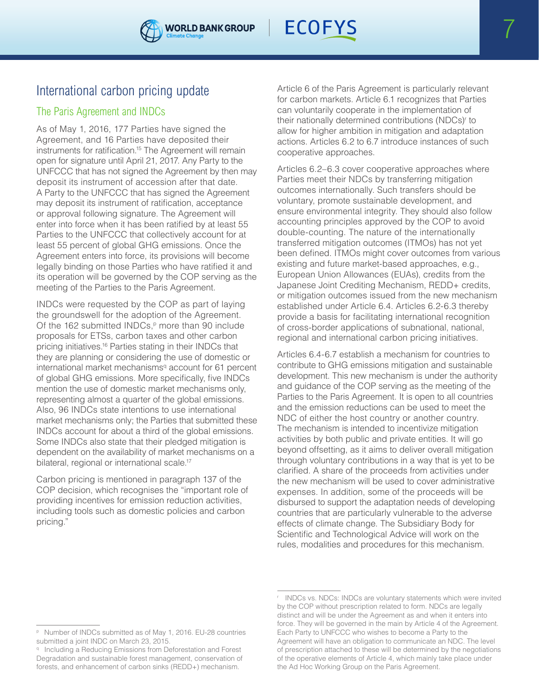

# The Paris Agreement and INDCs

As of May 1, 2016, 177 Parties have signed the Agreement, and 16 Parties have deposited their instruments for ratification.<sup>15</sup> The Agreement will remain open for signature until April 21, 2017. Any Party to the UNFCCC that has not signed the Agreement by then may deposit its instrument of accession after that date. A Party to the UNFCCC that has signed the Agreement may deposit its instrument of ratification, acceptance or approval following signature. The Agreement will enter into force when it has been ratified by at least 55 Parties to the UNFCCC that collectively account for at least 55 percent of global GHG emissions. Once the Agreement enters into force, its provisions will become legally binding on those Parties who have ratified it and its operation will be governed by the COP serving as the meeting of the Parties to the Paris Agreement.

INDCs were requested by the COP as part of laying the groundswell for the adoption of the Agreement. Of the 162 submitted INDCs, $P$  more than 90 include proposals for ETSs, carbon taxes and other carbon pricing initiatives.16 Parties stating in their INDCs that they are planning or considering the use of domestic or international market mechanisms<sup>q</sup> account for 61 percent of global GHG emissions. More specifically, five INDCs mention the use of domestic market mechanisms only, representing almost a quarter of the global emissions. Also, 96 INDCs state intentions to use international market mechanisms only; the Parties that submitted these INDCs account for about a third of the global emissions. Some INDCs also state that their pledged mitigation is dependent on the availability of market mechanisms on a bilateral, regional or international scale.<sup>17</sup>

Carbon pricing is mentioned in paragraph 137 of the COP decision, which recognises the "important role of providing incentives for emission reduction activities, including tools such as domestic policies and carbon pricing."

Article 6 of the Paris Agreement is particularly relevant for carbon markets. Article 6.1 recognizes that Parties can voluntarily cooperate in the implementation of their nationally determined contributions (NDCs)r to allow for higher ambition in mitigation and adaptation actions. Articles 6.2 to 6.7 introduce instances of such cooperative approaches.

Articles 6.2–6.3 cover cooperative approaches where Parties meet their NDCs by transferring mitigation outcomes internationally. Such transfers should be voluntary, promote sustainable development, and ensure environmental integrity. They should also follow accounting principles approved by the COP to avoid double-counting. The nature of the internationally transferred mitigation outcomes (ITMOs) has not yet been defined. ITMOs might cover outcomes from various existing and future market-based approaches, e.g., European Union Allowances (EUAs), credits from the Japanese Joint Crediting Mechanism, REDD+ credits, or mitigation outcomes issued from the new mechanism established under Article 6.4. Articles 6.2-6.3 thereby provide a basis for facilitating international recognition of cross-border applications of subnational, national, regional and international carbon pricing initiatives.

Articles 6.4-6.7 establish a mechanism for countries to contribute to GHG emissions mitigation and sustainable development. This new mechanism is under the authority and guidance of the COP serving as the meeting of the Parties to the Paris Agreement. It is open to all countries and the emission reductions can be used to meet the NDC of either the host country or another country. The mechanism is intended to incentivize mitigation activities by both public and private entities. It will go beyond offsetting, as it aims to deliver overall mitigation through voluntary contributions in a way that is yet to be clarified. A share of the proceeds from activities under the new mechanism will be used to cover administrative expenses. In addition, some of the proceeds will be disbursed to support the adaptation needs of developing countries that are particularly vulnerable to the adverse effects of climate change. The Subsidiary Body for Scientific and Technological Advice will work on the rules, modalities and procedures for this mechanism.

<sup>p</sup> Number of INDCs submitted as of May 1, 2016. EU-28 countries submitted a joint INDC on March 23, 2015.

q Including a Reducing Emissions from Deforestation and Forest Degradation and sustainable forest management, conservation of forests, and enhancement of carbon sinks (REDD+) mechanism.

<sup>r</sup> INDCs vs. NDCs: INDCs are voluntary statements which were invited by the COP without prescription related to form. NDCs are legally distinct and will be under the Agreement as and when it enters into force. They will be governed in the main by Article 4 of the Agreement. Each Party to UNFCCC who wishes to become a Party to the Agreement will have an obligation to communicate an NDC. The level of prescription attached to these will be determined by the negotiations of the operative elements of Article 4, which mainly take place under the Ad Hoc Working Group on the Paris Agreement.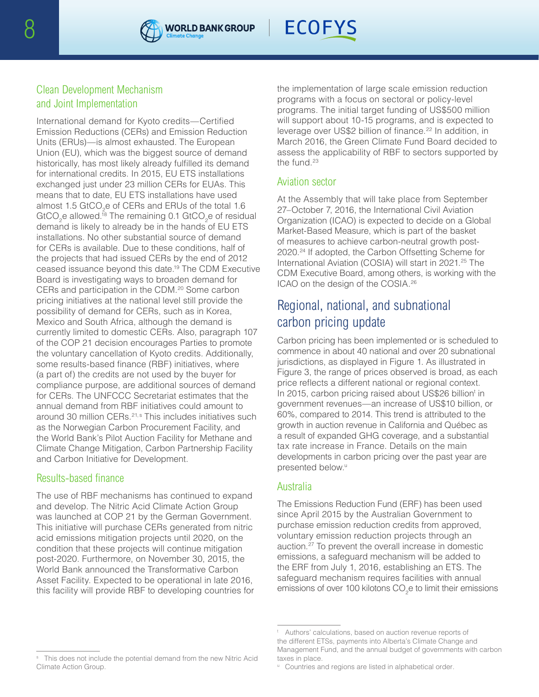



# Clean Development Mechanism and Joint Implementation

International demand for Kyoto credits—Certified Emission Reductions (CERs) and Emission Reduction Units (ERUs)—is almost exhausted. The European Union (EU), which was the biggest source of demand historically, has most likely already fulfilled its demand for international credits. In 2015, EU ETS installations exchanged just under 23 million CERs for EUAs. This means that to date, EU ETS installations have used almost 1.5 GtCO<sub>2</sub>e of CERs and ERUs of the total 1.6 GtCO<sub>2</sub>e allowed.<sup>18</sup> The remaining 0.1 GtCO<sub>2</sub>e of residual demand is likely to already be in the hands of EU ETS installations. No other substantial source of demand for CERs is available. Due to these conditions, half of the projects that had issued CERs by the end of 2012 ceased issuance beyond this date.19 The CDM Executive Board is investigating ways to broaden demand for CERs and participation in the CDM.20 Some carbon pricing initiatives at the national level still provide the possibility of demand for CERs, such as in Korea, Mexico and South Africa, although the demand is currently limited to domestic CERs. Also, paragraph 107 of the COP 21 decision encourages Parties to promote the voluntary cancellation of Kyoto credits. Additionally, some results-based finance (RBF) initiatives, where (a part of) the credits are not used by the buyer for compliance purpose, are additional sources of demand for CERs. The UNFCCC Secretariat estimates that the annual demand from RBF initiatives could amount to around 30 million CERs.<sup>21,s</sup> This includes initiatives such as the Norwegian Carbon Procurement Facility, and the World Bank's Pilot Auction Facility for Methane and Climate Change Mitigation, Carbon Partnership Facility and Carbon Initiative for Development.

## Results-based finance

The use of RBF mechanisms has continued to expand and develop. The Nitric Acid Climate Action Group was launched at COP 21 by the German Government. This initiative will purchase CERs generated from nitric acid emissions mitigation projects until 2020, on the condition that these projects will continue mitigation post-2020. Furthermore, on November 30, 2015, the World Bank announced the Transformative Carbon Asset Facility. Expected to be operational in late 2016, this facility will provide RBF to developing countries for the implementation of large scale emission reduction programs with a focus on sectoral or policy-level programs. The initial target funding of US\$500 million will support about 10-15 programs, and is expected to leverage over US\$2 billion of finance.<sup>22</sup> In addition, in March 2016, the Green Climate Fund Board decided to assess the applicability of RBF to sectors supported by the fund.23

# Aviation sector

At the Assembly that will take place from September 27–October 7, 2016, the International Civil Aviation Organization (ICAO) is expected to decide on a Global Market-Based Measure, which is part of the basket of measures to achieve carbon-neutral growth post-2020.24 If adopted, the Carbon Offsetting Scheme for International Aviation (COSIA) will start in 2021.<sup>25</sup> The CDM Executive Board, among others, is working with the ICAO on the design of the COSIA.26

# Regional, national, and subnational carbon pricing update

Carbon pricing has been implemented or is scheduled to commence in about 40 national and over 20 subnational jurisdictions, as displayed in Figure 1. As illustrated in Figure 3, the range of prices observed is broad, as each price reflects a different national or regional context. In 2015, carbon pricing raised about US\$26 billion<sup>t</sup> in government revenues—an increase of US\$10 billion, or 60%, compared to 2014. This trend is attributed to the growth in auction revenue in California and Québec as a result of expanded GHG coverage, and a substantial tax rate increase in France. Details on the main developments in carbon pricing over the past year are presented below.<sup>u</sup>

# Australia

The Emissions Reduction Fund (ERF) has been used since April 2015 by the Australian Government to purchase emission reduction credits from approved, voluntary emission reduction projects through an auction.27 To prevent the overall increase in domestic emissions, a safeguard mechanism will be added to the ERF from July 1, 2016, establishing an ETS. The safeguard mechanism requires facilities with annual emissions of over 100 kilotons CO<sub>2</sub>e to limit their emissions

s This does not include the potential demand from the new Nitric Acid Climate Action Group.

Authors' calculations, based on auction revenue reports of the different ETSs, payments into Alberta's Climate Change and Management Fund, and the annual budget of governments with carbon taxes in place.

<sup>&</sup>lt;sup>u</sup> Countries and regions are listed in alphabetical order.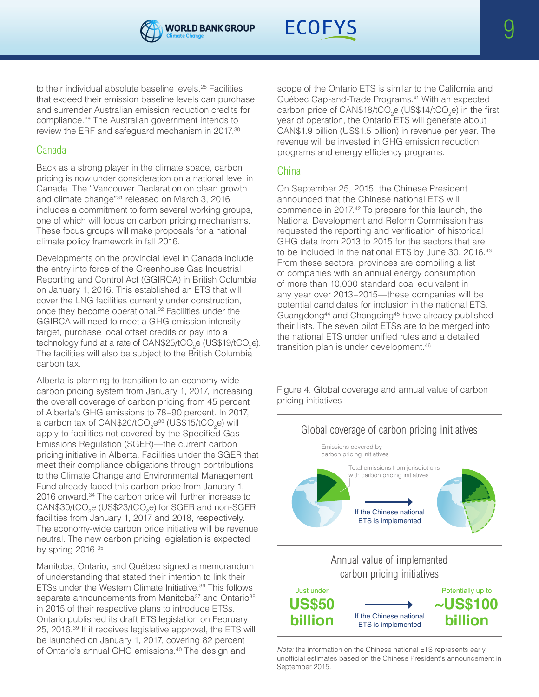



to their individual absolute baseline levels.28 Facilities that exceed their emission baseline levels can purchase and surrender Australian emission reduction credits for compliance.29 The Australian government intends to review the ERF and safeguard mechanism in 2017.30

# Canada

Back as a strong player in the climate space, carbon pricing is now under consideration on a national level in Canada. The "Vancouver Declaration on clean growth and climate change"31 released on March 3, 2016 includes a commitment to form several working groups, one of which will focus on carbon pricing mechanisms. These focus groups will make proposals for a national climate policy framework in fall 2016.

Developments on the provincial level in Canada include the entry into force of the Greenhouse Gas Industrial Reporting and Control Act (GGIRCA) in British Columbia on January 1, 2016. This established an ETS that will cover the LNG facilities currently under construction, once they become operational.32 Facilities under the GGIRCA will need to meet a GHG emission intensity target, purchase local offset credits or pay into a technology fund at a rate of CAN\$25/tCO<sub>2</sub>e (US\$19/tCO<sub>2</sub>e). The facilities will also be subject to the British Columbia carbon tax.

Alberta is planning to transition to an economy-wide carbon pricing system from January 1, 2017, increasing the overall coverage of carbon pricing from 45 percent of Alberta's GHG emissions to 78–90 percent. In 2017, a carbon tax of CAN\$20/tCO $_2$ e $^{33}$  (US\$15/tCO $_2$ e) will apply to facilities not covered by the Specified Gas Emissions Regulation (SGER)—the current carbon pricing initiative in Alberta. Facilities under the SGER that meet their compliance obligations through contributions to the Climate Change and Environmental Management Fund already faced this carbon price from January 1, 2016 onward.<sup>34</sup> The carbon price will further increase to  $\mathsf{CAN\$30/tCO}_2$ e (US\$23/tCO<sub>2</sub>e) for SGER and non-SGER facilities from January 1, 2017 and 2018, respectively. The economy-wide carbon price initiative will be revenue neutral. The new carbon pricing legislation is expected by spring 2016.35

Manitoba, Ontario, and Québec signed a memorandum of understanding that stated their intention to link their ETSs under the Western Climate Initiative.36 This follows separate announcements from Manitoba<sup>37</sup> and Ontario<sup>38</sup> in 2015 of their respective plans to introduce ETSs. Ontario published its draft ETS legislation on February 25, 2016.39 If it receives legislative approval, the ETS will be launched on January 1, 2017, covering 82 percent of Ontario's annual GHG emissions.40 The design and

scope of the Ontario ETS is similar to the California and Québec Cap-and-Trade Programs.41 With an expected carbon price of CAN\$18/tCO<sub>2</sub>e (US\$14/tCO<sub>2</sub>e) in the first year of operation, the Ontario ETS will generate about CAN\$1.9 billion (US\$1.5 billion) in revenue per year. The revenue will be invested in GHG emission reduction programs and energy efficiency programs.

# China

On September 25, 2015, the Chinese President announced that the Chinese national ETS will commence in 2017.42 To prepare for this launch, the National Development and Reform Commission has requested the reporting and verification of historical GHG data from 2013 to 2015 for the sectors that are to be included in the national ETS by June 30, 2016.<sup>43</sup> From these sectors, provinces are compiling a list of companies with an annual energy consumption of more than 10,000 standard coal equivalent in any year over 2013–2015—these companies will be potential candidates for inclusion in the national ETS. Guangdong44 and Chongqing45 have already published their lists. The seven pilot ETSs are to be merged into the national ETS under unified rules and a detailed transition plan is under development.46

Figure 4. Global coverage and annual value of carbon pricing initiatives



*Note:* the information on the Chinese national ETS represents early unofficial estimates based on the Chinese President's announcement in September 2015.

ETS is implemented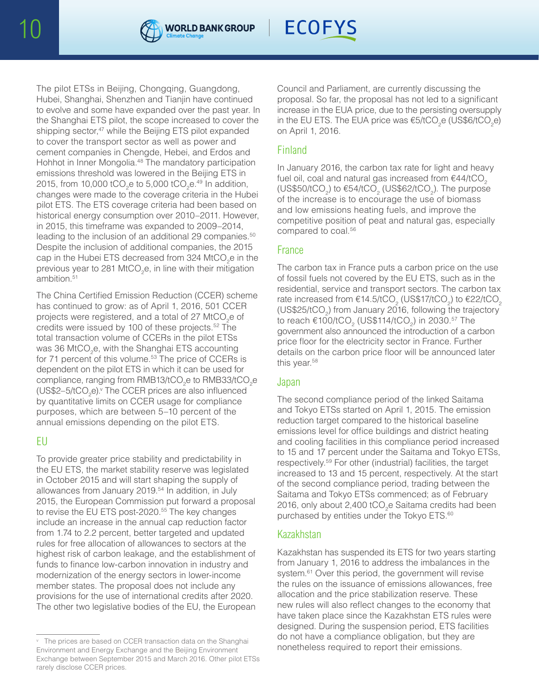



The pilot ETSs in Beijing, Chongqing, Guangdong, Hubei, Shanghai, Shenzhen and Tianjin have continued to evolve and some have expanded over the past year. In the Shanghai ETS pilot, the scope increased to cover the shipping sector,<sup>47</sup> while the Beijing ETS pilot expanded to cover the transport sector as well as power and cement companies in Chengde, Hebei, and Erdos and Hohhot in Inner Mongolia.<sup>48</sup> The mandatory participation emissions threshold was lowered in the Beijing ETS in 2015, from 10,000 tCO<sub>2</sub>e to 5,000 tCO<sub>2</sub>e.<sup>49</sup> In addition, changes were made to the coverage criteria in the Hubei pilot ETS. The ETS coverage criteria had been based on historical energy consumption over 2010–2011. However, in 2015, this timeframe was expanded to 2009–2014, leading to the inclusion of an additional 29 companies.<sup>50</sup> Despite the inclusion of additional companies, the 2015 cap in the Hubei ETS decreased from 324 MtCO<sub>2</sub>e in the previous year to 281 MtCO<sub>2</sub>e, in line with their mitigation ambition.51

The China Certified Emission Reduction (CCER) scheme has continued to grow: as of April 1, 2016, 501 CCER projects were registered, and a total of 27 MtCO<sub>2</sub>e of credits were issued by 100 of these projects.52 The total transaction volume of CCERs in the pilot ETSs was 36 MtCO<sub>2</sub>e, with the Shanghai ETS accounting for 71 percent of this volume.<sup>53</sup> The price of CCERs is dependent on the pilot ETS in which it can be used for compliance, ranging from RMB13/tCO<sub>2</sub>e to RMB33/tCO<sub>2</sub>e (US\$2–5/tCO<sub>2</sub>e).<sup>v</sup> The CCER prices are also influenced by quantitative limits on CCER usage for compliance purposes, which are between 5–10 percent of the annual emissions depending on the pilot ETS.

## EU

To provide greater price stability and predictability in the EU ETS, the market stability reserve was legislated in October 2015 and will start shaping the supply of allowances from January 2019.<sup>54</sup> In addition, in July 2015, the European Commission put forward a proposal to revise the EU ETS post-2020.<sup>55</sup> The key changes include an increase in the annual cap reduction factor from 1.74 to 2.2 percent, better targeted and updated rules for free allocation of allowances to sectors at the highest risk of carbon leakage, and the establishment of funds to finance low-carbon innovation in industry and modernization of the energy sectors in lower-income member states. The proposal does not include any provisions for the use of international credits after 2020. The other two legislative bodies of the EU, the European

Council and Parliament, are currently discussing the proposal. So far, the proposal has not led to a significant increase in the EUA price, due to the persisting oversupply in the EU ETS. The EUA price was  $\mathrm{\epsilon}$ 5/tCO<sub>2</sub>e (US\$6/tCO<sub>2</sub>e) on April 1, 2016.

# Finland

In January 2016, the carbon tax rate for light and heavy fuel oil, coal and natural gas increased from  $€44/tCO<sub>2</sub>$ (US\$50/tCO<sub>2</sub>) to  $\epsilon$ 54/tCO<sub>2</sub> (US\$62/tCO<sub>2</sub>). The purpose of the increase is to encourage the use of biomass and low emissions heating fuels, and improve the competitive position of peat and natural gas, especially compared to coal.<sup>56</sup>

## France

The carbon tax in France puts a carbon price on the use of fossil fuels not covered by the EU ETS, such as in the residential, service and transport sectors. The carbon tax rate increased from €14.5/tCO<sub>2</sub> (US\$17/tCO<sub>2</sub>) to €22/tCO<sub>2</sub> (US\$25/tCO<sub>2</sub>) from January 2016, following the trajectory to reach €100/tCO $_{\textrm{\tiny{2}}}$  (US\$114/tCO $_{\textrm{\tiny{2}}}$ ) in 2030.<sup>57</sup> The government also announced the introduction of a carbon price floor for the electricity sector in France. Further details on the carbon price floor will be announced later this year.<sup>58</sup>

## Japan

The second compliance period of the linked Saitama and Tokyo ETSs started on April 1, 2015. The emission reduction target compared to the historical baseline emissions level for office buildings and district heating and cooling facilities in this compliance period increased to 15 and 17 percent under the Saitama and Tokyo ETSs, respectively.59 For other (industrial) facilities, the target increased to 13 and 15 percent, respectively. At the start of the second compliance period, trading between the Saitama and Tokyo ETSs commenced; as of February 2016, only about 2,400 tCO<sub>2</sub>e Saitama credits had been purchased by entities under the Tokyo ETS.<sup>60</sup>

## Kazakhstan

Kazakhstan has suspended its ETS for two years starting from January 1, 2016 to address the imbalances in the system.<sup>61</sup> Over this period, the government will revise the rules on the issuance of emissions allowances, free allocation and the price stabilization reserve. These new rules will also reflect changes to the economy that have taken place since the Kazakhstan ETS rules were designed. During the suspension period, ETS facilities do not have a compliance obligation, but they are

The prices are based on CCER transaction data on the Shanghai and the unit right of a complication of their emissions.<br>In a price to report their emissions. Environment and Energy Exchange and the Beijing Environment Exchange between September 2015 and March 2016. Other pilot ETSs rarely disclose CCER prices.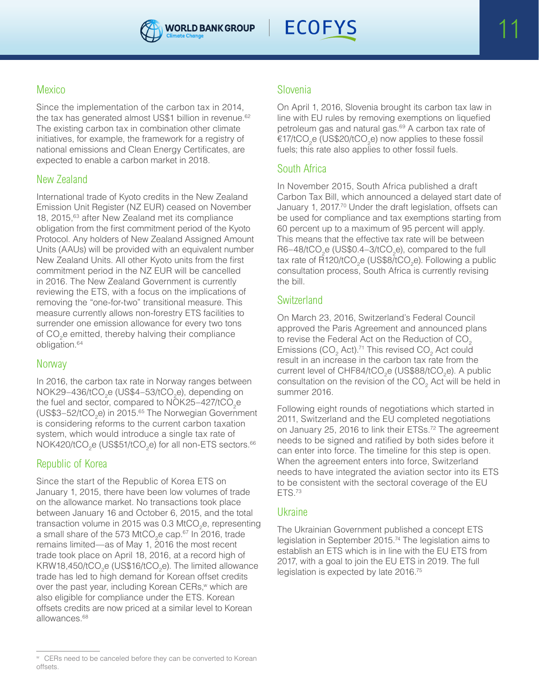



# Mexico

Since the implementation of the carbon tax in 2014, the tax has generated almost US\$1 billion in revenue.<sup>62</sup> The existing carbon tax in combination other climate initiatives, for example, the framework for a registry of national emissions and Clean Energy Certificates, are expected to enable a carbon market in 2018.

# New Zealand

International trade of Kyoto credits in the New Zealand Emission Unit Register (NZ EUR) ceased on November 18, 2015,<sup>63</sup> after New Zealand met its compliance obligation from the first commitment period of the Kyoto Protocol. Any holders of New Zealand Assigned Amount Units (AAUs) will be provided with an equivalent number New Zealand Units. All other Kyoto units from the first commitment period in the NZ EUR will be cancelled in 2016. The New Zealand Government is currently reviewing the ETS, with a focus on the implications of removing the "one-for-two" transitional measure. This measure currently allows non-forestry ETS facilities to surrender one emission allowance for every two tons of CO<sub>2</sub>e emitted, thereby halving their compliance obligation.64

# **Norway**

In 2016, the carbon tax rate in Norway ranges between  $NOK29-436/tCO_2e$  (US\$4-53/tCO<sub>2</sub>e), depending on the fuel and sector, compared to NOK25-427/tCO<sub>2</sub>e (US\$3–52/tCO<sub>2</sub>e) in 2015.<sup>65</sup> The Norwegian Government is considering reforms to the current carbon taxation system, which would introduce a single tax rate of NOK420/tCO $_2$ e (US\$51/tCO $_2$ e) for all non-ETS sectors. $^{66}$ 

# Republic of Korea

Since the start of the Republic of Korea ETS on January 1, 2015, there have been low volumes of trade on the allowance market. No transactions took place between January 16 and October 6, 2015, and the total transaction volume in 2015 was 0.3 MtCO<sub>2</sub>e, representing a small share of the 573 MtCO<sub>2</sub>e cap.<sup>67</sup> In 2016, trade remains limited—as of May 1, 2016 the most recent trade took place on April 18, 2016, at a record high of KRW18,450/tCO<sub>2</sub>e (US\$16/tCO<sub>2</sub>e). The limited allowance trade has led to high demand for Korean offset credits over the past year, including Korean CERs, $w$  which are also eligible for compliance under the ETS. Korean offsets credits are now priced at a similar level to Korean allowances.68

# Slovenia

On April 1, 2016, Slovenia brought its carbon tax law in line with EU rules by removing exemptions on liquefied petroleum gas and natural gas.69 A carbon tax rate of €17/tCO<sub>2</sub>e (US\$20/tCO<sub>2</sub>e) now applies to these fossil fuels; this rate also applies to other fossil fuels.

# South Africa

In November 2015, South Africa published a draft Carbon Tax Bill, which announced a delayed start date of January 1, 2017.<sup>70</sup> Under the draft legislation, offsets can be used for compliance and tax exemptions starting from 60 percent up to a maximum of 95 percent will apply. This means that the effective tax rate will be between R6–48/tCO<sub>2</sub>e (US\$0.4–3/tCO<sub>2</sub>e), compared to the full tax rate of R120/tCO<sub>2</sub>e (US\$8/tCO<sub>2</sub>e). Following a public consultation process, South Africa is currently revising the bill.

# **Switzerland**

On March 23, 2016, Switzerland's Federal Council approved the Paris Agreement and announced plans to revise the Federal Act on the Reduction of CO<sub>2</sub> Emissions (CO<sub>2</sub> Act).<sup>71</sup> This revised CO<sub>2</sub> Act could result in an increase in the carbon tax rate from the current level of CHF84/tCO<sub>2</sub>e (US\$88/tCO<sub>2</sub>e). A public consultation on the revision of the CO<sub>2</sub> Act will be held in summer 2016.

Following eight rounds of negotiations which started in 2011, Switzerland and the EU completed negotiations on January 25, 2016 to link their ETSs.72 The agreement needs to be signed and ratified by both sides before it can enter into force. The timeline for this step is open. When the agreement enters into force, Switzerland needs to have integrated the aviation sector into its ETS to be consistent with the sectoral coverage of the EU ETS.73

# Ukraine

The Ukrainian Government published a concept ETS legislation in September 2015.74 The legislation aims to establish an ETS which is in line with the EU ETS from 2017, with a goal to join the EU ETS in 2019. The full legislation is expected by late 2016.75

<sup>w</sup> CERs need to be canceled before they can be converted to Korean offsets.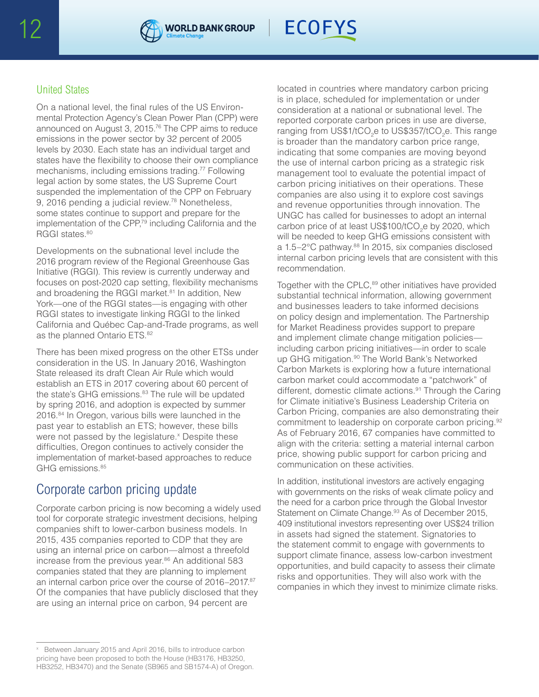



# United States

On a national level, the final rules of the US Environmental Protection Agency's Clean Power Plan (CPP) were announced on August 3, 2015.76 The CPP aims to reduce emissions in the power sector by 32 percent of 2005 levels by 2030. Each state has an individual target and states have the flexibility to choose their own compliance mechanisms, including emissions trading.77 Following legal action by some states, the US Supreme Court suspended the implementation of the CPP on February 9, 2016 pending a judicial review.<sup>78</sup> Nonetheless, some states continue to support and prepare for the implementation of the CPP,<sup>79</sup> including California and the RGGI states.<sup>80</sup>

Developments on the subnational level include the 2016 program review of the Regional Greenhouse Gas Initiative (RGGI). This review is currently underway and focuses on post-2020 cap setting, flexibility mechanisms and broadening the RGGI market.<sup>81</sup> In addition, New York—one of the RGGI states—is engaging with other RGGI states to investigate linking RGGI to the linked California and Québec Cap-and-Trade programs, as well as the planned Ontario ETS.<sup>82</sup>

There has been mixed progress on the other ETSs under consideration in the US. In January 2016, Washington State released its draft Clean Air Rule which would establish an ETS in 2017 covering about 60 percent of the state's GHG emissions.<sup>83</sup> The rule will be updated by spring 2016, and adoption is expected by summer 2016.84 In Oregon, various bills were launched in the past year to establish an ETS; however, these bills were not passed by the legislature.<sup>x</sup> Despite these difficulties, Oregon continues to actively consider the implementation of market-based approaches to reduce GHG emissions.<sup>85</sup>

# Corporate carbon pricing update

Corporate carbon pricing is now becoming a widely used tool for corporate strategic investment decisions, helping companies shift to lower-carbon business models. In 2015, 435 companies reported to CDP that they are using an internal price on carbon—almost a threefold increase from the previous year.<sup>86</sup> An additional 583 companies stated that they are planning to implement an internal carbon price over the course of 2016–2017.87 Of the companies that have publicly disclosed that they are using an internal price on carbon, 94 percent are

located in countries where mandatory carbon pricing is in place, scheduled for implementation or under consideration at a national or subnational level. The reported corporate carbon prices in use are diverse, ranging from US\$1/tCO<sub>2</sub>e to US\$357/tCO<sub>2</sub>e. This range is broader than the mandatory carbon price range, indicating that some companies are moving beyond the use of internal carbon pricing as a strategic risk management tool to evaluate the potential impact of carbon pricing initiatives on their operations. These companies are also using it to explore cost savings and revenue opportunities through innovation. The UNGC has called for businesses to adopt an internal carbon price of at least US\$100/tCO<sub>2</sub>e by 2020, which will be needed to keep GHG emissions consistent with a 1.5-2°C pathway.<sup>88</sup> In 2015, six companies disclosed internal carbon pricing levels that are consistent with this recommendation.

Together with the CPLC,<sup>89</sup> other initiatives have provided substantial technical information, allowing government and businesses leaders to take informed decisions on policy design and implementation. The Partnership for Market Readiness provides support to prepare and implement climate change mitigation policies including carbon pricing initiatives—in order to scale up GHG mitigation.<sup>90</sup> The World Bank's Networked Carbon Markets is exploring how a future international carbon market could accommodate a "patchwork" of different, domestic climate actions.<sup>91</sup> Through the Caring for Climate initiative's Business Leadership Criteria on Carbon Pricing, companies are also demonstrating their commitment to leadership on corporate carbon pricing.<sup>92</sup> As of February 2016, 67 companies have committed to align with the criteria: setting a material internal carbon price, showing public support for carbon pricing and communication on these activities.

In addition, institutional investors are actively engaging with governments on the risks of weak climate policy and the need for a carbon price through the Global Investor Statement on Climate Change.<sup>93</sup> As of December 2015, 409 institutional investors representing over US\$24 trillion in assets had signed the statement. Signatories to the statement commit to engage with governments to support climate finance, assess low-carbon investment opportunities, and build capacity to assess their climate risks and opportunities. They will also work with the companies in which they invest to minimize climate risks.

Between January 2015 and April 2016, bills to introduce carbon pricing have been proposed to both the House (HB3176, HB3250, HB3252, HB3470) and the Senate (SB965 and SB1574-A) of Oregon.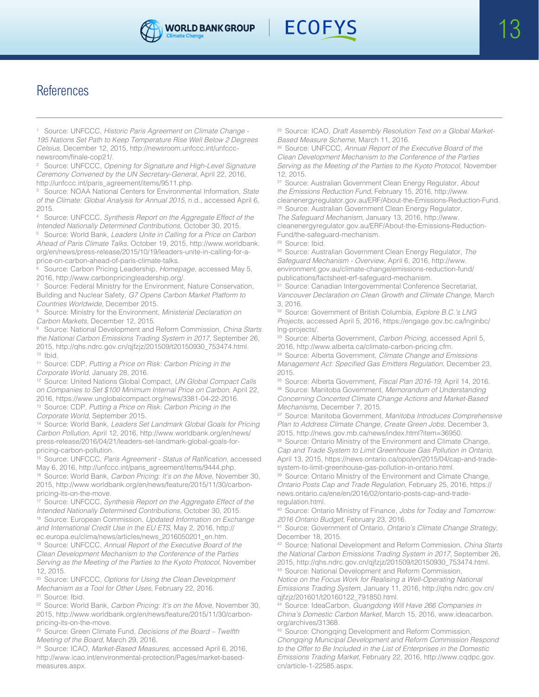



# References

<sup>1</sup> Source: UNFCCC, *Historic Paris Agreement on Climate Change - 195 Nations Set Path to Keep Temperature Rise Well Below 2 Degrees Celsius*, December 12, 2015, http://newsroom.unfccc.int/unfcccnewsroom/finale-cop21/.

<sup>2</sup> Source: UNFCCC, *Opening for Signature and High-Level Signature Ceremony Convened by the UN Secretary-General*, April 22, 2016, http://unfccc.int/paris\_agreement/items/9511.php.

<sup>3</sup> Source: NOAA National Centers for Environmental Information, *State of the Climate: Global Analysis for Annual 2015*, n.d., accessed April 6, 2015.

<sup>4</sup> Source: UNFCCC, *Synthesis Report on the Aggregate Effect of the Intended Nationally Determined Contributions*, October 30, 2015.

<sup>5</sup> Source: World Bank, *Leaders Unite in Calling for a Price on Carbon Ahead of Paris Climate Talks*, October 19, 2015, http://www.worldbank. org/en/news/press-release/2015/10/19/leaders-unite-in-calling-for-aprice-on-carbon-ahead-of-paris-climate-talks.

<sup>6</sup> Source: Carbon Pricing Leadership, *Homepage*, accessed May 5, 2016, http://www.carbonpricingleadership.org/.

<sup>7</sup> Source: Federal Ministry for the Environment, Nature Conservation, Building and Nuclear Safety, *G7 Opens Carbon Market Platform to Countries Worldwide*, December 2015.

<sup>8</sup> Source: Ministry for the Environment, *Ministerial Declaration on Carbon Markets*, December 12, 2015.

<sup>9</sup> Source: National Development and Reform Commission, *China Starts the National Carbon Emissions Trading System in 2017*, September 26, 2015, http://qhs.ndrc.gov.cn/qjfzjz/201509/t20150930\_753474.html.  $10$  Ibid.

<sup>11</sup> Source: CDP, *Putting a Price on Risk: Carbon Pricing in the Corporate World*, January 28, 2016.

<sup>12</sup> Source: United Nations Global Compact, *UN Global Compact Calls on Companies to Set \$100 Minimum Internal Price on Carbon*, April 22, 2016, https://www.unglobalcompact.org/news/3381-04-22-2016. <sup>13</sup> Source: CDP, *Putting a Price on Risk: Carbon Pricing in the Corporate World*, September 2015.

<sup>14</sup> Source: World Bank, *Leaders Set Landmark Global Goals for Pricing Carbon Pollution*, April 12, 2016, http://www.worldbank.org/en/news/ press-release/2016/04/21/leaders-set-landmark-global-goals-forpricing-carbon-pollution.

<sup>15</sup> Source: UNFCCC, Paris Agreement - Status of Ratification, accessed May 6, 2016, http://unfccc.int/paris\_agreement/items/9444.php. <sup>16</sup> Source: World Bank, *Carbon Pricing: It's on the Move*, November 30, 2015, http://www.worldbank.org/en/news/feature/2015/11/30/carbonpricing-its-on-the-move.

<sup>17</sup> Source: UNFCCC, *Synthesis Report on the Aggregate Effect of the Intended Nationally Determined Contributions*, October 30, 2015. <sup>18</sup> Source: European Commission, *Updated Information on Exchange and International Credit Use in the EU ETS*, May 2, 2016, http:// ec.europa.eu/clima/news/articles/news\_2016050201\_en.htm. <sup>19</sup> Source: UNFCCC, *Annual Report of the Executive Board of the Clean Development Mechanism to the Conference of the Parties Serving as the Meeting of the Parties to the Kyoto Protocol*, November 12, 2015.

<sup>20</sup> Source: UNFCCC, *Options for Using the Clean Development Mechanism as a Tool for Other Uses*, February 22, 2016. <sup>21</sup> Source: Ibid.

<sup>22</sup> Source: World Bank, *Carbon Pricing: It's on the Move*, November 30, 2015, http://www.worldbank.org/en/news/feature/2015/11/30/carbonpricing-its-on-the-move.

<sup>23</sup> Source: Green Climate Fund, *Decisions of the Board – Twelfth Meeting of the Board*, March 29, 2016.

<sup>24</sup> Source: ICAO, *Market-Based Measures*, accessed April 6, 2016, http://www.icao.int/environmental-protection/Pages/market-basedmeasures.aspx.

<sup>25</sup> Source: ICAO, *Draft Assembly Resolution Text on a Global Market-Based Measure Scheme*, March 11, 2016.

<sup>26</sup> Source: UNFCCC, *Annual Report of the Executive Board of the Clean Development Mechanism to the Conference of the Parties Serving as the Meeting of the Parties to the Kyoto Protocol*, November 12, 2015.

<sup>27</sup> Source: Australian Government Clean Energy Regulator, *About the Emissions Reduction Fund*, February 15, 2016, http://www. cleanenergyregulator.gov.au/ERF/About-the-Emissions-Reduction-Fund. <sup>28</sup> Source: Australian Government Clean Energy Regulator, *The Safeguard Mechanism*, January 13, 2016, http://www. cleanenergyregulator.gov.au/ERF/About-the-Emissions-Reduction-Fund/the-safeguard-mechanism.

<sup>29</sup> Source: Ibid.

<sup>30</sup> Source: Australian Government Clean Energy Regulator, *The Safeguard Mechanism - Overview*, April 6, 2016, http://www. environment.gov.au/climate-change/emissions-reduction-fund/ publications/factsheet-erf-safeguard-mechanism.

<sup>31</sup> Source: Canadian Intergovernmental Conference Secretariat, *Vancouver Declaration on Clean Growth and Climate Change*, March 3, 2016.

<sup>32</sup> Source: Government of British Columbia, *Explore B.C.'s LNG Projects*, accessed April 5, 2016, https://engage.gov.bc.ca/lnginbc/ lng-projects/.

<sup>33</sup> Source: Alberta Government, *Carbon Pricing*, accessed April 5, 2016, http://www.alberta.ca/climate-carbon-pricing.cfm.

<sup>34</sup> Source: Alberta Government, *Climate Change and Emissions*  Management Act: Specified Gas Emitters Regulation, December 23, 2015.

<sup>35</sup> Source: Alberta Government, *Fiscal Plan 2016-19*, April 14, 2016. <sup>36</sup> Source: Manitoba Government, *Memorandum of Understanding Concerning Concerted Climate Change Actions and Market-Based Mechanisms*, December 7, 2015.

<sup>37</sup> Source: Manitoba Government, *Manitoba Introduces Comprehensive Plan to Address Climate Change, Create Green Jobs*, December 3, 2015, http://news.gov.mb.ca/news/index.html?item=36950.

38 Source: Ontario Ministry of the Environment and Climate Change, *Cap and Trade System to Limit Greenhouse Gas Pollution in Ontario*, April 13, 2015, https://news.ontario.ca/opo/en/2015/04/cap-and-tradesystem-to-limit-greenhouse-gas-pollution-in-ontario.html.

<sup>39</sup> Source: Ontario Ministry of the Environment and Climate Change, *Ontario Posts Cap and Trade Regulation*, February 25, 2016, https:// news.ontario.ca/ene/en/2016/02/ontario-posts-cap-and-traderegulation.html.

<sup>40</sup> Source: Ontario Ministry of Finance, *Jobs for Today and Tomorrow: 2016 Ontario Budget*, February 23, 2016.

<sup>41</sup> Source: Government of Ontario, *Ontario's Climate Change Strategy*, December 18, 2015.

<sup>42</sup> Source: National Development and Reform Commission, *China Starts the National Carbon Emissions Trading System in 2017*, September 26, 2015, http://qhs.ndrc.gov.cn/qjfzjz/201509/t20150930\_753474.html. <sup>43</sup> Source: National Development and Reform Commission,

*Notice on the Focus Work for Realising a Well-Operating National Emissions Trading System*, January 11, 2016, http://qhs.ndrc.gov.cn/ qjfzjz/201601/t20160122\_791850.html.

<sup>44</sup> Source: IdeaCarbon, *Guangdong Will Have 266 Companies in China's Domestic Carbon Market*, March 15, 2016, www.ideacarbon. org/archives/31368.

<sup>45</sup> Source: Chongqing Development and Reform Commission, *Chongqing Municipal Development and Reform Commission Respond to the Offer to Be Included in the List of Enterprises in the Domestic Emissions Trading Market*, February 22, 2016, http://www.cqdpc.gov. cn/article-1-22585.aspx.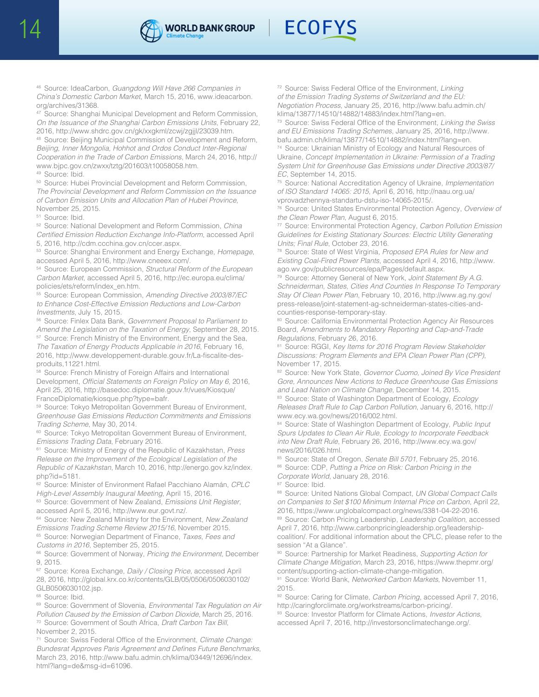



<sup>46</sup> Source: IdeaCarbon, *Guangdong Will Have 266 Companies in China's Domestic Carbon Market*, March 15, 2016, www.ideacarbon. org/archives/31368.

<sup>47</sup> Source: Shanghai Municipal Development and Reform Commission, *On the Issuance of the Shanghai Carbon Emissions Units*, February 22, 2016, http://www.shdrc.gov.cn/gk/xxgkml/zcwj/zgjjl/23039.htm.

<sup>48</sup> Source: Beijing Municipal Commission of Development and Reform, *Beijing, Inner Mongolia, Hohhot and Ordos Conduct Inter-Regional Cooperation in the Trade of Carbon Emissions*, March 24, 2016, http:// www.bjpc.gov.cn/zwxx/tztg/201603/t10058058.htm. <sup>49</sup> Source: Ibid.

<sup>50</sup> Source: Hubei Provincial Development and Reform Commission, *The Provincial Development and Reform Commission on the Issuance of Carbon Emission Units and Allocation Plan of Hubei Province*, November 25, 2015.

<sup>51</sup> Source: Ibid.

<sup>52</sup> Source: National Development and Reform Commission, *China*  Certified Emission Reduction Exchange Info-Platform, accessed April 5, 2016, http://cdm.ccchina.gov.cn/ccer.aspx.

<sup>53</sup> Source: Shanghai Environment and Energy Exchange, *Homepage*, accessed April 5, 2016, http://www.cneeex.com/.

<sup>54</sup> Source: European Commission, *Structural Reform of the European Carbon Market*, accessed April 5, 2016, http://ec.europa.eu/clima/ policies/ets/reform/index\_en.htm.

<sup>55</sup> Source: European Commission, *Amending Directive 2003/87/EC to Enhance Cost-Effective Emission Reductions and Low-Carbon Investments*, July 15, 2015.

<sup>56</sup> Source: Finlex Data Bank, *Government Proposal to Parliament to Amend the Legislation on the Taxation of Energy*, September 28, 2015. 57 Source: French Ministry of the Environment, Energy and the Sea, *The Taxation of Energy Products Applicable in 2016*, February 16,

2016, http://www.developpement-durable.gouv.fr/La-fiscalite-desproduits,11221.html.

58 Source: French Ministry of Foreign Affairs and International Development, Official Statements on Foreign Policy on May 6, 2016, April 25, 2016, http://basedoc.diplomatie.gouv.fr/vues/Kiosque/ FranceDiplomatie/kiosque.php?type=bafr.

<sup>59</sup> Source: Tokyo Metropolitan Government Bureau of Environment, *Greenhouse Gas Emissions Reduction Commitments and Emissions Trading Scheme*, May 30, 2014.

<sup>60</sup> Source: Tokyo Metropolitan Government Bureau of Environment, *Emissions Trading Data*, February 2016.

<sup>61</sup> Source: Ministry of Energy of the Republic of Kazakhstan, *Press Release on the Improvement of the Ecological Legislation of the Republic of Kazakhstan*, March 10, 2016, http://energo.gov.kz/index. php?id=5181.

<sup>62</sup> Source: Minister of Environment Rafael Pacchiano Alamán, *CPLC High-Level Assembly Inaugural Meeting*, April 15, 2016.

<sup>63</sup> Source: Government of New Zealand, *Emissions Unit Register*, accessed April 5, 2016, http://www.eur.govt.nz/.

<sup>64</sup> Source: New Zealand Ministry for the Environment, *New Zealand Emissions Trading Scheme Review 2015/16*, November 2015.

<sup>65</sup> Source: Norwegian Department of Finance, *Taxes, Fees and Customs in 2016*, September 25, 2015.

<sup>66</sup> Source: Government of Norway, *Pricing the Environment*, December 9, 2015.

<sup>67</sup> Source: Korea Exchange, *Daily / Closing Price*, accessed April 28, 2016, http://global.krx.co.kr/contents/GLB/05/0506/0506030102/ GLB0506030102.jsp.

<sup>68</sup> Source: Ibid.

<sup>69</sup> Source: Government of Slovenia, *Environmental Tax Regulation on Air Pollution Caused by the Emission of Carbon Dioxide*, March 25, 2016. <sup>70</sup> Source: Government of South Africa, *Draft Carbon Tax Bill*, November 2, 2015.

<sup>71</sup> Source: Swiss Federal Office of the Environment, *Climate Change:*  Bundesrat Approves Paris Agreement and Defines Future Benchmarks, March 23, 2016, http://www.bafu.admin.ch/klima/03449/12696/index. html?lang=de&msg-id=61096.

<sup>72</sup> Source: Swiss Federal Office of the Environment, *Linking of the Emission Trading Systems of Switzerland and the EU: Negotiation Process*, January 25, 2016, http://www.bafu.admin.ch/ klima/13877/14510/14882/14883/index.html?lang=en.

<sup>73</sup> Source: Swiss Federal Office of the Environment, *Linking the Swiss and EU Emissions Trading Schemes*, January 25, 2016, http://www. bafu.admin.ch/klima/13877/14510/14882/index.html?lang=en.

<sup>74</sup> Source: Ukrainian Ministry of Ecology and Natural Resources of Ukraine, *Concept Implementation in Ukraine: Permission of a Trading System Unit for Greenhouse Gas Emissions under Directive 2003/87/ EC*, September 14, 2015.

<sup>75</sup> Source: National Accreditation Agency of Ukraine, *Implementation of ISO Standard 14065: 2015*, April 6, 2016, http://naau.org.ua/ vprovadzhennya-standartu-dstu-iso-14065-2015/.

<sup>76</sup> Source: United States Environmental Protection Agency, *Overview of the Clean Power Plan*, August 6, 2015.

<sup>77</sup> Source: Environmental Protection Agency, *Carbon Pollution Emission Guidelines for Existing Stationary Sources: Electric Utility Generating Units; Final Rule*, October 23, 2016.

<sup>78</sup> Source: State of West Virginia, *Proposed EPA Rules for New and Existing Coal-Fired Power Plants*, accessed April 4, 2016, http://www. ago.wv.gov/publicresources/epa/Pages/default.aspx.

<sup>79</sup> Source: Attorney General of New York, *Joint Statement By A.G. Schneiderman, States, Cities And Counties In Response To Temporary Stay Of Clean Power Plan*, February 10, 2016, http://www.ag.ny.gov/ press-release/joint-statement-ag-schneiderman-states-cities-andcounties-response-temporary-stay.

80 Source: California Environmental Protection Agency Air Resources Board, *Amendments to Mandatory Reporting and Cap-and-Trade Regulations*, February 26, 2016.

<sup>81</sup> Source: RGGI, *Key Items for 2016 Program Review Stakeholder Discussions: Program Elements and EPA Clean Power Plan (CPP)*, November 17, 2015.

<sup>82</sup> Source: New York State, *Governor Cuomo, Joined By Vice President Gore, Announces New Actions to Reduce Greenhouse Gas Emissions and Lead Nation on Climate Change*, December 14, 2015.

<sup>83</sup> Source: State of Washington Department of Ecology, *Ecology Releases Draft Rule to Cap Carbon Pollution*, January 6, 2016, http:// www.ecy.wa.gov/news/2016/002.html.

<sup>84</sup> Source: State of Washington Department of Ecology, *Public Input Spurs Updates to Clean Air Rule, Ecology to Incorporate Feedback into New Draft Rule*, February 26, 2016, http://www.ecy.wa.gov/ news/2016/026.html.

<sup>85</sup> Source: State of Oregon, *Senate Bill 5701*, February 25, 2016. <sup>86</sup> Source: CDP, *Putting a Price on Risk: Carbon Pricing in the* 

*Corporate World*, January 28, 2016.

<sup>87</sup> Source: Ibid.

<sup>88</sup> Source: United Nations Global Compact, *UN Global Compact Calls on Companies to Set \$100 Minimum Internal Price on Carbon*, April 22, 2016, https://www.unglobalcompact.org/news/3381-04-22-2016.

<sup>89</sup> Source: Carbon Pricing Leadership, *Leadership Coalition*, accessed April 7, 2016, http://www.carbonpricingleadership.org/leadershipcoalition/. For additional information about the CPLC, please refer to the session "At a Glance".

<sup>90</sup> Source: Partnership for Market Readiness, *Supporting Action for Climate Change Mitigation*, March 23, 2016, https://www.thepmr.org/ content/supporting-action-climate-change-mitigation.

<sup>91</sup> Source: World Bank, *Networked Carbon Markets*, November 11, 2015.

<sup>92</sup> Source: Caring for Climate, *Carbon Pricing*, accessed April 7, 2016, http://caringforclimate.org/workstreams/carbon-pricing/.

<sup>93</sup> Source: Investor Platform for Climate Actions, *Investor Actions*, accessed April 7, 2016, http://investorsonclimatechange.org/.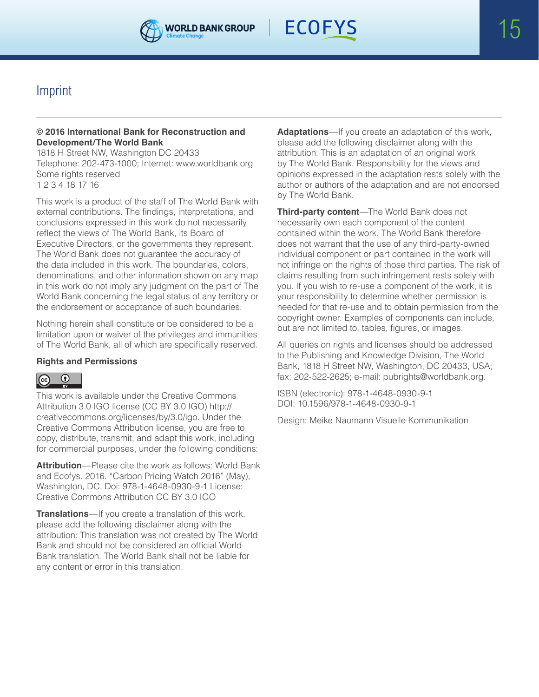



# Imprint

#### **© 2016 International Bank for Reconstruction and Development/The World Bank**

1818 H Street NW, Washington DC 20433 Telephone: 202-473-1000; Internet: www.worldbank.org Some rights reserved 1 2 3 4 18 17 16

This work is a product of the staff of The World Bank with external contributions. The findings, interpretations, and conclusions expressed in this work do not necessarily reflect the views of The World Bank, its Board of Executive Directors, or the governments they represent. The World Bank does not guarantee the accuracy of the data included in this work. The boundaries, colors, denominations, and other information shown on any map in this work do not imply any judgment on the part of The World Bank concerning the legal status of any territory or the endorsement or acceptance of such boundaries.

Nothing herein shall constitute or be considered to be a limitation upon or waiver of the privileges and immunities of The World Bank, all of which are specifically reserved.

#### **Rights and Permissions**

#### $\odot$  $\left($ cc

This work is available under the Creative Commons Attribution 3.0 IGO license (CC BY 3.0 IGO) http:// creativecommons.org/licenses/by/3.0/igo. Under the Creative Commons Attribution license, you are free to copy, distribute, transmit, and adapt this work, including for commercial purposes, under the following conditions:

**Attribution**—Please cite the work as follows: World Bank and Ecofys. 2016. "Carbon Pricing Watch 2016" (May), Washington, DC. Doi: 978-1-4648-0930-9-1 License: Creative Commons Attribution CC BY 3.0 IGO

**Translations**—If you create a translation of this work, please add the following disclaimer along with the attribution: This translation was not created by The World Bank and should not be considered an official World Bank translation. The World Bank shall not be liable for any content or error in this translation.

**Adaptations**—If you create an adaptation of this work, please add the following disclaimer along with the attribution: This is an adaptation of an original work by The World Bank. Responsibility for the views and opinions expressed in the adaptation rests solely with the author or authors of the adaptation and are not endorsed by The World Bank.

**Third-party content**—The World Bank does not necessarily own each component of the content contained within the work. The World Bank therefore does not warrant that the use of any third-party-owned individual component or part contained in the work will not infringe on the rights of those third parties. The risk of claims resulting from such infringement rests solely with you. If you wish to re-use a component of the work, it is your responsibility to determine whether permission is needed for that re-use and to obtain permission from the copyright owner. Examples of components can include, but are not limited to, tables, figures, or images.

All queries on rights and licenses should be addressed to the Publishing and Knowledge Division, The World Bank, 1818 H Street NW, Washington, DC 20433, USA; fax: 202-522-2625; e-mail: pubrights@worldbank.org.

ISBN (electronic): 978-1-4648-0930-9-1 DOI: 10.1596/978-1-4648-0930-9-1

Design: Meike Naumann Visuelle Kommunikation